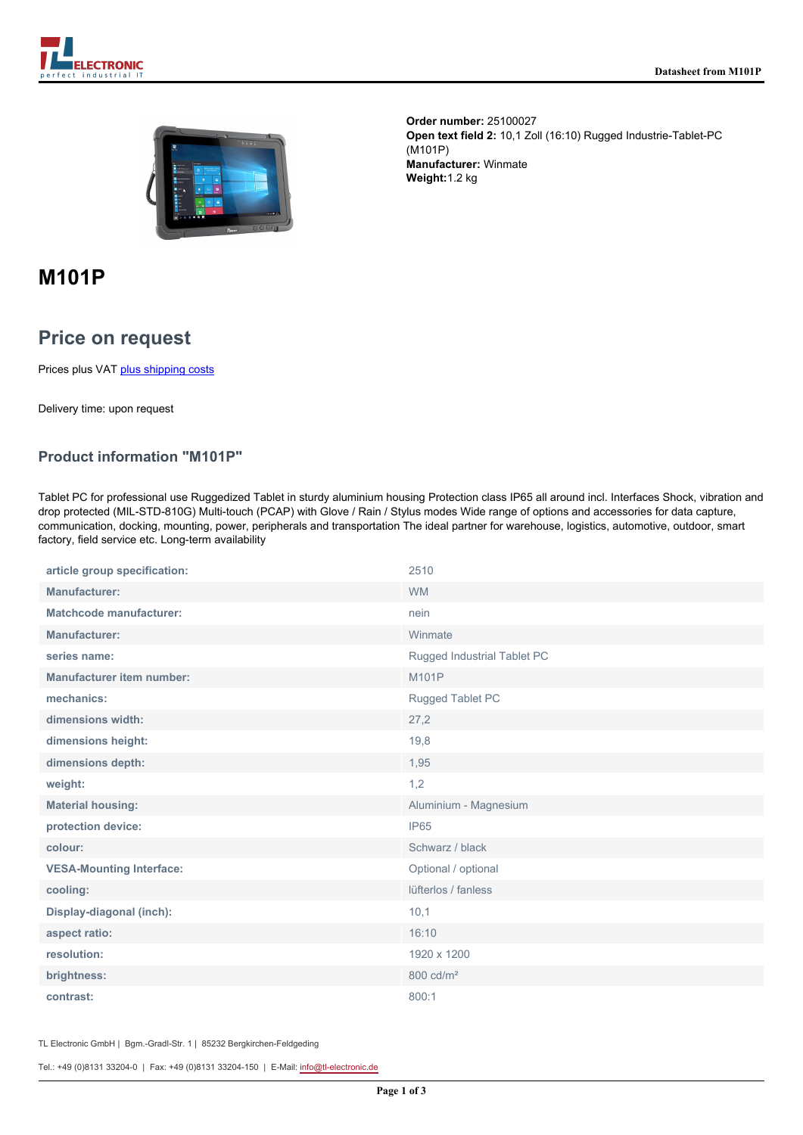



**Order number:** 25100027 **Open text field 2:** 10,1 Zoll (16:10) Rugged Industrie-Tablet-PC (M101P) **Manufacturer:** Winmate **Weight:**1.2 kg

# **M101P**

# **Price on request**

Prices plus VAT [plus shipping costs](https://www.tl-electronic.com/payment/dispatch)

Delivery time: upon request

## **Product information "M101P"**

Tablet PC for professional use Ruggedized Tablet in sturdy aluminium housing Protection class IP65 all around incl. Interfaces Shock, vibration and drop protected (MIL-STD-810G) Multi-touch (PCAP) with Glove / Rain / Stylus modes Wide range of options and accessories for data capture, communication, docking, mounting, power, peripherals and transportation The ideal partner for warehouse, logistics, automotive, outdoor, smart factory, field service etc. Long-term availability

| article group specification:     | 2510                        |
|----------------------------------|-----------------------------|
| <b>Manufacturer:</b>             | <b>WM</b>                   |
| <b>Matchcode manufacturer:</b>   | nein                        |
| Manufacturer:                    | Winmate                     |
| series name:                     | Rugged Industrial Tablet PC |
| <b>Manufacturer item number:</b> | M101P                       |
| mechanics:                       | Rugged Tablet PC            |
| dimensions width:                | 27,2                        |
| dimensions height:               | 19,8                        |
| dimensions depth:                | 1,95                        |
| weight:                          | 1,2                         |
| <b>Material housing:</b>         | Aluminium - Magnesium       |
| protection device:               | IP65                        |
| colour:                          | Schwarz / black             |
| <b>VESA-Mounting Interface:</b>  | Optional / optional         |
| cooling:                         | lüfterlos / fanless         |
| Display-diagonal (inch):         | 10,1                        |
| aspect ratio:                    | 16:10                       |
| resolution:                      | 1920 x 1200                 |
| brightness:                      | 800 cd/m <sup>2</sup>       |
| contrast:                        | 800:1                       |

TL Electronic GmbH | Bgm.-Gradl-Str. 1 | 85232 Bergkirchen-Feldgeding

Tel.: +49 (0)8131 33204-0 | Fax: +49 (0)8131 33204-150 | E-Mail: [info@tl-electronic.de](mailto:info@tl-electronic.de)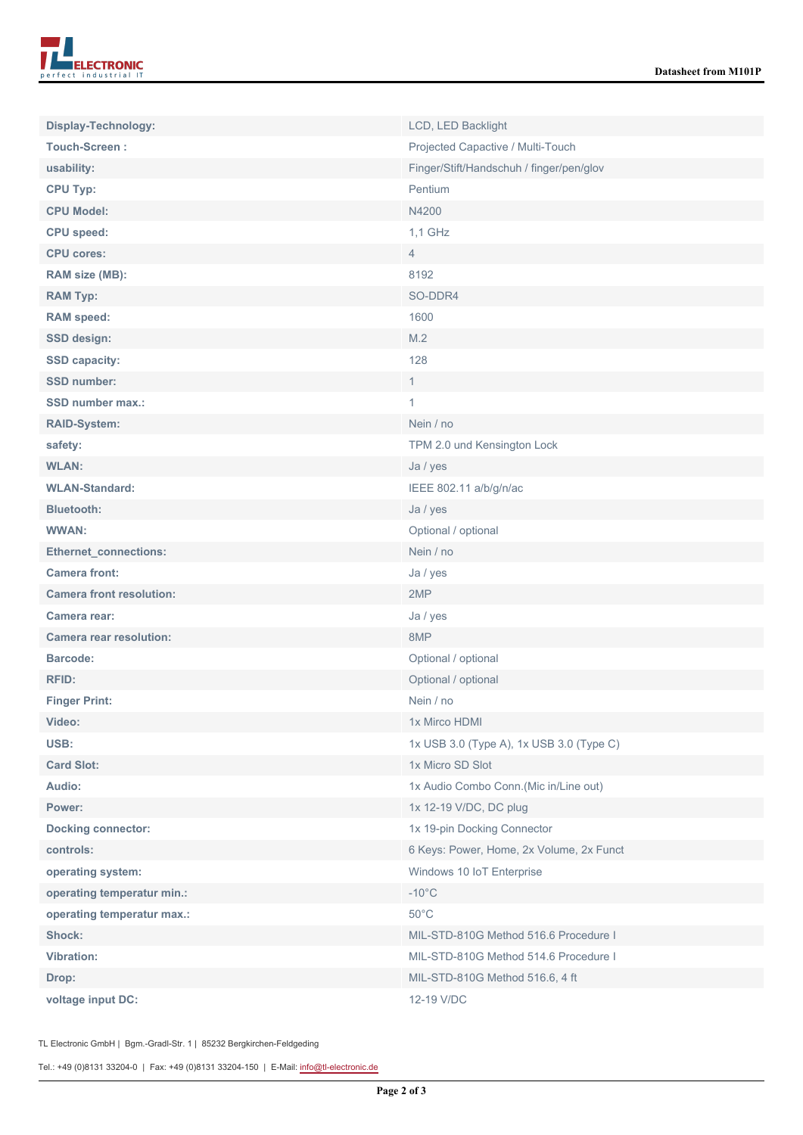

| Display-Technology:             | LCD, LED Backlight                       |
|---------------------------------|------------------------------------------|
| <b>Touch-Screen:</b>            | Projected Capactive / Multi-Touch        |
| usability:                      | Finger/Stift/Handschuh / finger/pen/glov |
| <b>CPU Typ:</b>                 | Pentium                                  |
| <b>CPU Model:</b>               | N4200                                    |
| <b>CPU</b> speed:               | 1,1 GHz                                  |
| <b>CPU cores:</b>               | $\overline{4}$                           |
| RAM size (MB):                  | 8192                                     |
| <b>RAM Typ:</b>                 | SO-DDR4                                  |
| <b>RAM</b> speed:               | 1600                                     |
| <b>SSD design:</b>              | M.2                                      |
| <b>SSD capacity:</b>            | 128                                      |
| <b>SSD number:</b>              | $\mathbf{1}$                             |
| <b>SSD number max.:</b>         | 1                                        |
| <b>RAID-System:</b>             | Nein / no                                |
| safety:                         | TPM 2.0 und Kensington Lock              |
| <b>WLAN:</b>                    | Ja / yes                                 |
| <b>WLAN-Standard:</b>           | IEEE 802.11 a/b/g/n/ac                   |
| <b>Bluetooth:</b>               | Ja / yes                                 |
| <b>WWAN:</b>                    | Optional / optional                      |
| <b>Ethernet_connections:</b>    | Nein / no                                |
| <b>Camera front:</b>            | Ja / yes                                 |
| <b>Camera front resolution:</b> | 2MP                                      |
| Camera rear:                    | Ja / yes                                 |
| <b>Camera rear resolution:</b>  | 8MP                                      |
| <b>Barcode:</b>                 | Optional / optional                      |
| <b>RFID:</b>                    | Optional / optional                      |
| <b>Finger Print:</b>            | Nein / no                                |
| Video:                          | 1x Mirco HDMI                            |
| USB:                            | 1x USB 3.0 (Type A), 1x USB 3.0 (Type C) |
| <b>Card Slot:</b>               | 1x Micro SD Slot                         |
| Audio:                          | 1x Audio Combo Conn.(Mic in/Line out)    |
| Power:                          | 1x 12-19 V/DC, DC plug                   |
| <b>Docking connector:</b>       | 1x 19-pin Docking Connector              |
| controls:                       | 6 Keys: Power, Home, 2x Volume, 2x Funct |
| operating system:               | Windows 10 IoT Enterprise                |
| operating temperatur min.:      | $-10^{\circ}$ C                          |
| operating temperatur max.:      | $50^{\circ}$ C                           |
| Shock:                          | MIL-STD-810G Method 516.6 Procedure I    |
| <b>Vibration:</b>               | MIL-STD-810G Method 514.6 Procedure I    |
| Drop:                           | MIL-STD-810G Method 516.6, 4 ft          |
| voltage input DC:               | 12-19 V/DC                               |

TL Electronic GmbH | Bgm.-Gradl-Str. 1 | 85232 Bergkirchen-Feldgeding

Tel.: +49 (0)8131 33204-0 | Fax: +49 (0)8131 33204-150 | E-Mail: [info@tl-electronic.de](mailto:info@tl-electronic.de)